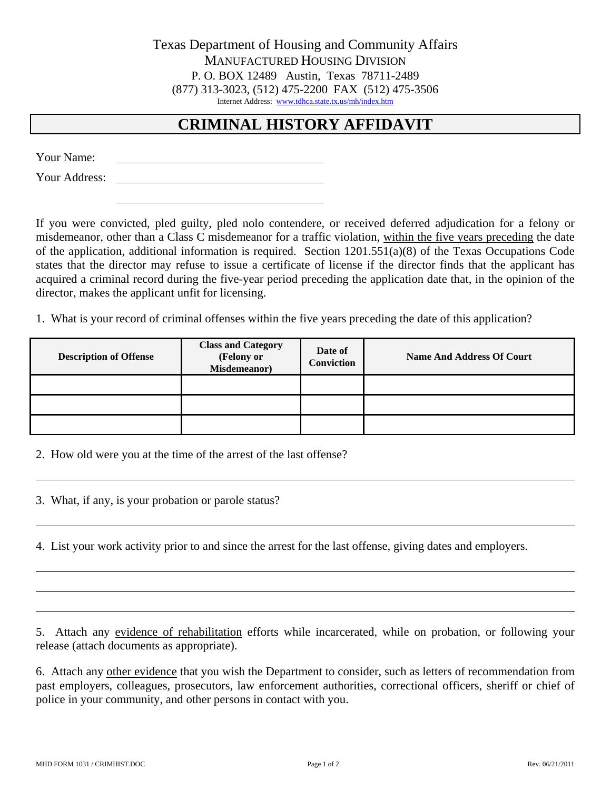Texas Department of Housing and Community Affairs MANUFACTURED HOUSING DIVISION P. O. BOX 12489 Austin, Texas 78711-2489 (877) 313-3023, (512) 475-2200 FAX (512) 475-3506 Internet Address: [www.tdhca.state.tx.us/mh/index.htm](http://www.tdhca.state.tx.us/mh/index.htm)

## **CRIMINAL HISTORY AFFIDAVIT**

Your Name:

Your Address:

If you were convicted, pled guilty, pled nolo contendere, or received deferred adjudication for a felony or misdemeanor, other than a Class C misdemeanor for a traffic violation, within the five years preceding the date of the application, additional information is required. Section 1201.551(a)(8) of the Texas Occupations Code states that the director may refuse to issue a certificate of license if the director finds that the applicant has acquired a criminal record during the five-year period preceding the application date that, in the opinion of the director, makes the applicant unfit for licensing.

1. What is your record of criminal offenses within the five years preceding the date of this application?

| <b>Description of Offense</b> | <b>Class and Category</b><br>(Felony or<br>Misdemeanor) | Date of<br>Conviction | <b>Name And Address Of Court</b> |
|-------------------------------|---------------------------------------------------------|-----------------------|----------------------------------|
|                               |                                                         |                       |                                  |
|                               |                                                         |                       |                                  |
|                               |                                                         |                       |                                  |

2. How old were you at the time of the arrest of the last offense?

3. What, if any, is your probation or parole status?

4. List your work activity prior to and since the arrest for the last offense, giving dates and employers.

5. Attach any evidence of rehabilitation efforts while incarcerated, while on probation, or following your release (attach documents as appropriate).

6. Attach any other evidence that you wish the Department to consider, such as letters of recommendation from past employers, colleagues, prosecutors, law enforcement authorities, correctional officers, sheriff or chief of police in your community, and other persons in contact with you.

 $\overline{a}$ 

 $\overline{a}$